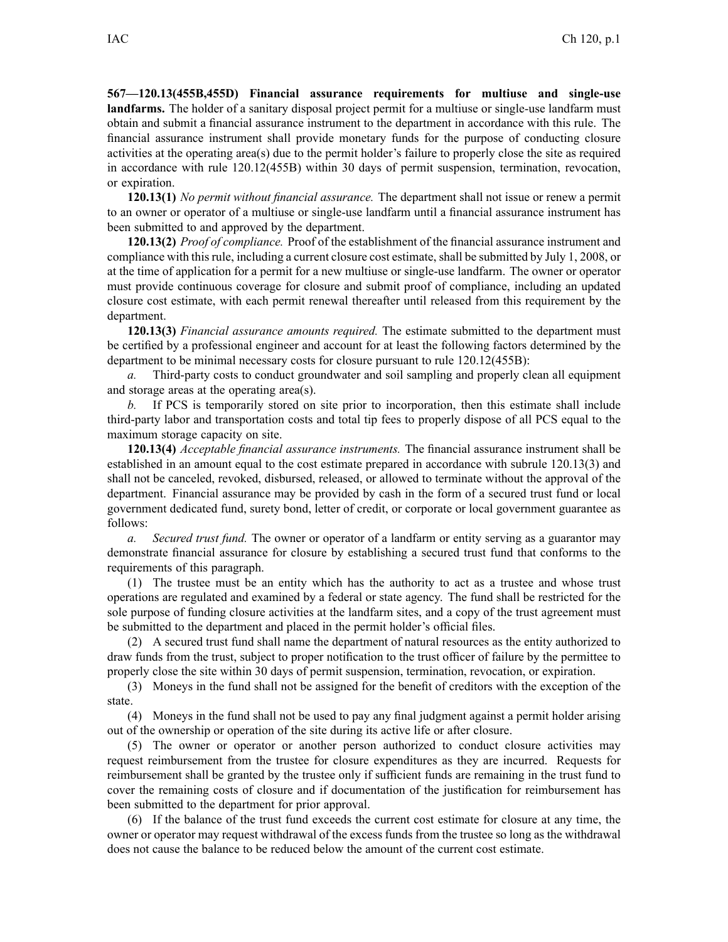**567—120.13(455B,455D) Financial assurance requirements for multiuse and single-use landfarms.** The holder of <sup>a</sup> sanitary disposal project permit for <sup>a</sup> multiuse or single-use landfarm must obtain and submit <sup>a</sup> financial assurance instrument to the department in accordance with this rule. The financial assurance instrument shall provide monetary funds for the purpose of conducting closure activities at the operating area(s) due to the permit holder's failure to properly close the site as required in accordance with rule 120.12(455B) within 30 days of permit suspension, termination, revocation, or expiration.

**120.13(1)** *No permit without financial assurance.* The department shall not issue or renew <sup>a</sup> permit to an owner or operator of <sup>a</sup> multiuse or single-use landfarm until <sup>a</sup> financial assurance instrument has been submitted to and approved by the department.

**120.13(2)** *Proof of compliance.* Proof of the establishment of the financial assurance instrument and compliance with thisrule, including <sup>a</sup> current closure cost estimate, shall be submitted by July 1, 2008, or at the time of application for <sup>a</sup> permit for <sup>a</sup> new multiuse or single-use landfarm. The owner or operator must provide continuous coverage for closure and submit proof of compliance, including an updated closure cost estimate, with each permit renewal thereafter until released from this requirement by the department.

**120.13(3)** *Financial assurance amounts required.* The estimate submitted to the department must be certified by <sup>a</sup> professional engineer and account for at least the following factors determined by the department to be minimal necessary costs for closure pursuan<sup>t</sup> to rule 120.12(455B):

*a.* Third-party costs to conduct groundwater and soil sampling and properly clean all equipment and storage areas at the operating area(s).

*b.* If PCS is temporarily stored on site prior to incorporation, then this estimate shall include third-party labor and transportation costs and total tip fees to properly dispose of all PCS equal to the maximum storage capacity on site.

**120.13(4)** *Acceptable financial assurance instruments.* The financial assurance instrument shall be established in an amount equal to the cost estimate prepared in accordance with subrule 120.13(3) and shall not be canceled, revoked, disbursed, released, or allowed to terminate without the approval of the department. Financial assurance may be provided by cash in the form of <sup>a</sup> secured trust fund or local governmen<sup>t</sup> dedicated fund, surety bond, letter of credit, or corporate or local governmen<sup>t</sup> guarantee as follows:

*a. Secured trust fund.* The owner or operator of <sup>a</sup> landfarm or entity serving as <sup>a</sup> guarantor may demonstrate financial assurance for closure by establishing <sup>a</sup> secured trust fund that conforms to the requirements of this paragraph.

(1) The trustee must be an entity which has the authority to act as <sup>a</sup> trustee and whose trust operations are regulated and examined by <sup>a</sup> federal or state agency. The fund shall be restricted for the sole purpose of funding closure activities at the landfarm sites, and <sup>a</sup> copy of the trust agreemen<sup>t</sup> must be submitted to the department and placed in the permit holder's official files.

(2) A secured trust fund shall name the department of natural resources as the entity authorized to draw funds from the trust, subject to proper notification to the trust officer of failure by the permittee to properly close the site within 30 days of permit suspension, termination, revocation, or expiration.

(3) Moneys in the fund shall not be assigned for the benefit of creditors with the exception of the state.

(4) Moneys in the fund shall not be used to pay any final judgment against <sup>a</sup> permit holder arising out of the ownership or operation of the site during its active life or after closure.

(5) The owner or operator or another person authorized to conduct closure activities may reques<sup>t</sup> reimbursement from the trustee for closure expenditures as they are incurred. Requests for reimbursement shall be granted by the trustee only if sufficient funds are remaining in the trust fund to cover the remaining costs of closure and if documentation of the justification for reimbursement has been submitted to the department for prior approval.

(6) If the balance of the trust fund exceeds the current cost estimate for closure at any time, the owner or operator may reques<sup>t</sup> withdrawal of the excess funds from the trustee so long as the withdrawal does not cause the balance to be reduced below the amount of the current cost estimate.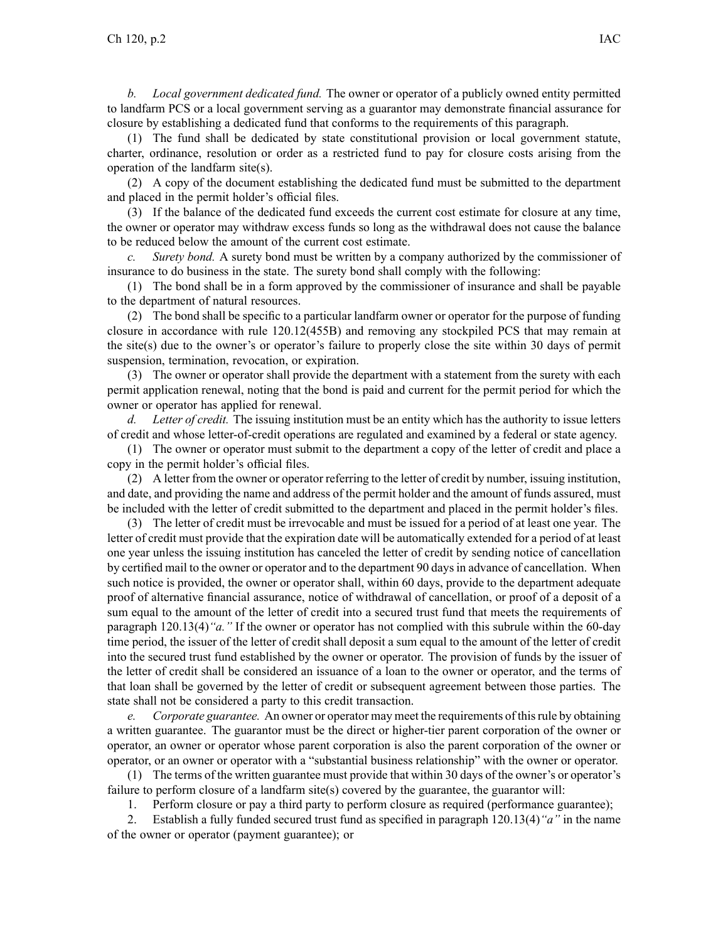*b. Local governmen<sup>t</sup> dedicated fund.* The owner or operator of <sup>a</sup> publicly owned entity permitted to landfarm PCS or <sup>a</sup> local governmen<sup>t</sup> serving as <sup>a</sup> guarantor may demonstrate financial assurance for closure by establishing <sup>a</sup> dedicated fund that conforms to the requirements of this paragraph.

(1) The fund shall be dedicated by state constitutional provision or local governmen<sup>t</sup> statute, charter, ordinance, resolution or order as <sup>a</sup> restricted fund to pay for closure costs arising from the operation of the landfarm site(s).

(2) A copy of the document establishing the dedicated fund must be submitted to the department and placed in the permit holder's official files.

(3) If the balance of the dedicated fund exceeds the current cost estimate for closure at any time, the owner or operator may withdraw excess funds so long as the withdrawal does not cause the balance to be reduced below the amount of the current cost estimate.

*c. Surety bond.* A surety bond must be written by <sup>a</sup> company authorized by the commissioner of insurance to do business in the state. The surety bond shall comply with the following:

(1) The bond shall be in <sup>a</sup> form approved by the commissioner of insurance and shall be payable to the department of natural resources.

(2) The bond shall be specific to <sup>a</sup> particular landfarm owner or operator for the purpose of funding closure in accordance with rule 120.12(455B) and removing any stockpiled PCS that may remain at the site $(s)$  due to the owner's or operator's failure to properly close the site within 30 days of permit suspension, termination, revocation, or expiration.

(3) The owner or operator shall provide the department with <sup>a</sup> statement from the surety with each permit application renewal, noting that the bond is paid and current for the permit period for which the owner or operator has applied for renewal.

*d. Letter of credit.* The issuing institution must be an entity which has the authority to issue letters of credit and whose letter-of-credit operations are regulated and examined by <sup>a</sup> federal or state agency.

(1) The owner or operator must submit to the department <sup>a</sup> copy of the letter of credit and place <sup>a</sup> copy in the permit holder's official files.

(2) A letter from the owner or operator referring to the letter of credit by number, issuing institution, and date, and providing the name and address of the permit holder and the amount of funds assured, must be included with the letter of credit submitted to the department and placed in the permit holder's files.

(3) The letter of credit must be irrevocable and must be issued for <sup>a</sup> period of at least one year. The letter of credit must provide that the expiration date will be automatically extended for <sup>a</sup> period of at least one year unless the issuing institution has canceled the letter of credit by sending notice of cancellation by certified mail to the owner or operator and to the department 90 daysin advance of cancellation. When such notice is provided, the owner or operator shall, within 60 days, provide to the department adequate proof of alternative financial assurance, notice of withdrawal of cancellation, or proof of <sup>a</sup> deposit of <sup>a</sup> sum equal to the amount of the letter of credit into <sup>a</sup> secured trust fund that meets the requirements of paragraph 120.13(4)*"a."* If the owner or operator has not complied with this subrule within the 60-day time period, the issuer of the letter of credit shall deposit <sup>a</sup> sum equal to the amount of the letter of credit into the secured trust fund established by the owner or operator. The provision of funds by the issuer of the letter of credit shall be considered an issuance of <sup>a</sup> loan to the owner or operator, and the terms of that loan shall be governed by the letter of credit or subsequent agreemen<sup>t</sup> between those parties. The state shall not be considered <sup>a</sup> party to this credit transaction.

*e. Corporate guarantee.* An owner or operator may meet the requirements of thisrule by obtaining <sup>a</sup> written guarantee. The guarantor must be the direct or higher-tier paren<sup>t</sup> corporation of the owner or operator, an owner or operator whose paren<sup>t</sup> corporation is also the paren<sup>t</sup> corporation of the owner or operator, or an owner or operator with <sup>a</sup> "substantial business relationship" with the owner or operator.

(1) The terms of the written guarantee must provide that within 30 days of the owner's or operator's failure to perform closure of a landfarm site(s) covered by the guarantee, the guarantor will:

1. Perform closure or pay <sup>a</sup> third party to perform closure as required (performance guarantee);

2. Establish <sup>a</sup> fully funded secured trust fund as specified in paragraph 120.13(4)*"a"* in the name of the owner or operator (payment guarantee); or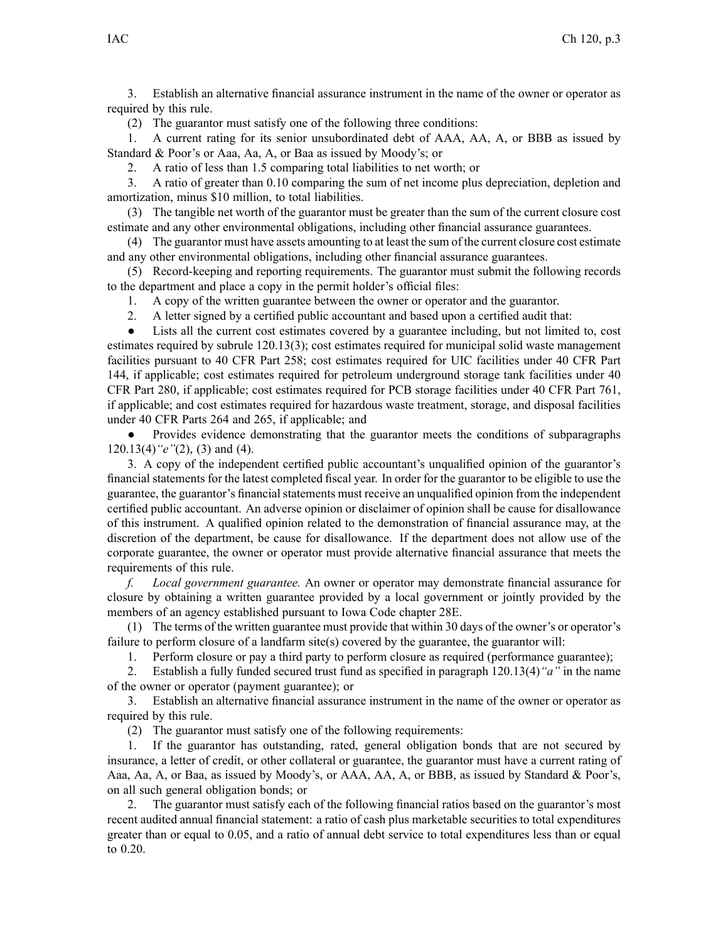3. Establish an alternative financial assurance instrument in the name of the owner or operator as required by this rule.

(2) The guarantor must satisfy one of the following three conditions:

1. A current rating for its senior unsubordinated debt of AAA, AA, A, or BBB as issued by Standard & Poor's or Aaa, Aa, A, or Baa as issued by Moody's; or

2. A ratio of less than 1.5 comparing total liabilities to net worth; or

3. A ratio of greater than 0.10 comparing the sum of net income plus depreciation, depletion and amortization, minus \$10 million, to total liabilities.

(3) The tangible net worth of the guarantor must be greater than the sum of the current closure cost estimate and any other environmental obligations, including other financial assurance guarantees.

(4) The guarantor must have assets amounting to at least the sum of the current closure cost estimate and any other environmental obligations, including other financial assurance guarantees.

(5) Record-keeping and reporting requirements. The guarantor must submit the following records to the department and place <sup>a</sup> copy in the permit holder's official files:

1. A copy of the written guarantee between the owner or operator and the guarantor.

2. A letter signed by <sup>a</sup> certified public accountant and based upon <sup>a</sup> certified audit that:

 $\bullet$  Lists all the current cost estimates covered by <sup>a</sup> guarantee including, but not limited to, cost estimates required by subrule 120.13(3); cost estimates required for municipal solid waste managemen<sup>t</sup> facilities pursuan<sup>t</sup> to 40 CFR Part 258; cost estimates required for UIC facilities under 40 CFR Part 144, if applicable; cost estimates required for petroleum underground storage tank facilities under 40 CFR Part 280, if applicable; cost estimates required for PCB storage facilities under 40 CFR Part 761, if applicable; and cost estimates required for hazardous waste treatment, storage, and disposal facilities under 40 CFR Parts 264 and 265, if applicable; and

● Provides evidence demonstrating that the guarantor meets the conditions of subparagraphs 120.13(4)*"e"*(2), (3) and (4).

3. A copy of the independent certified public accountant's unqualified opinion of the guarantor's financial statements for the latest completed fiscal year. In order for the guarantor to be eligible to use the guarantee, the guarantor's financial statements must receive an unqualified opinion from the independent certified public accountant. An adverse opinion or disclaimer of opinion shall be cause for disallowance of this instrument. A qualified opinion related to the demonstration of financial assurance may, at the discretion of the department, be cause for disallowance. If the department does not allow use of the corporate guarantee, the owner or operator must provide alternative financial assurance that meets the requirements of this rule.

*f. Local governmen<sup>t</sup> guarantee.* An owner or operator may demonstrate financial assurance for closure by obtaining <sup>a</sup> written guarantee provided by <sup>a</sup> local governmen<sup>t</sup> or jointly provided by the members of an agency established pursuan<sup>t</sup> to Iowa Code chapter 28E.

(1) The terms of the written guarantee must provide that within 30 days of the owner's or operator's failure to perform closure of <sup>a</sup> landfarm site(s) covered by the guarantee, the guarantor will:

1. Perform closure or pay <sup>a</sup> third party to perform closure as required (performance guarantee);

2. Establish <sup>a</sup> fully funded secured trust fund as specified in paragraph 120.13(4)*"a"* in the name of the owner or operator (payment guarantee); or

3. Establish an alternative financial assurance instrument in the name of the owner or operator as required by this rule.

(2) The guarantor must satisfy one of the following requirements:

1. If the guarantor has outstanding, rated, general obligation bonds that are not secured by insurance, <sup>a</sup> letter of credit, or other collateral or guarantee, the guarantor must have <sup>a</sup> current rating of Aaa, Aa, A, or Baa, as issued by Moody's, or AAA, AA, A, or BBB, as issued by Standard & Poor's, on all such general obligation bonds; or

2. The guarantor must satisfy each of the following financial ratios based on the guarantor's most recent audited annual financial statement: <sup>a</sup> ratio of cash plus marketable securities to total expenditures greater than or equal to 0.05, and <sup>a</sup> ratio of annual debt service to total expenditures less than or equal to 0.20.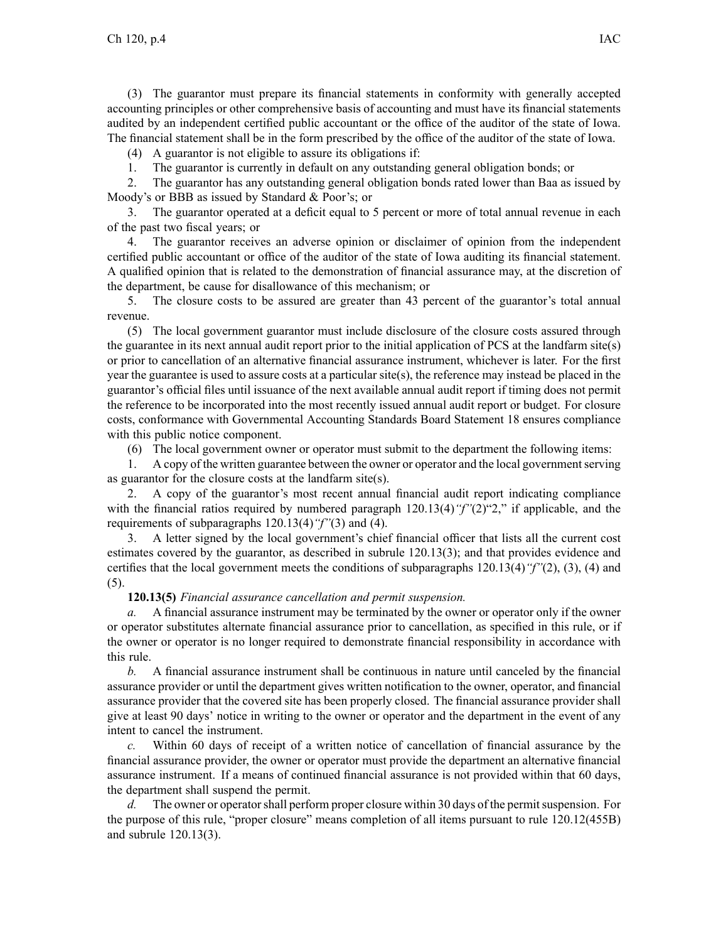(3) The guarantor must prepare its financial statements in conformity with generally accepted accounting principles or other comprehensive basis of accounting and must have its financial statements audited by an independent certified public accountant or the office of the auditor of the state of Iowa. The financial statement shall be in the form prescribed by the office of the auditor of the state of Iowa.

(4) A guarantor is not eligible to assure its obligations if:

1. The guarantor is currently in default on any outstanding general obligation bonds; or

2. The guarantor has any outstanding general obligation bonds rated lower than Baa as issued by Moody's or BBB as issued by Standard & Poor's; or

3. The guarantor operated at <sup>a</sup> deficit equal to 5 percen<sup>t</sup> or more of total annual revenue in each of the pas<sup>t</sup> two fiscal years; or

4. The guarantor receives an adverse opinion or disclaimer of opinion from the independent certified public accountant or office of the auditor of the state of Iowa auditing its financial statement. A qualified opinion that is related to the demonstration of financial assurance may, at the discretion of the department, be cause for disallowance of this mechanism; or

5. The closure costs to be assured are greater than 43 percen<sup>t</sup> of the guarantor's total annual revenue.

(5) The local governmen<sup>t</sup> guarantor must include disclosure of the closure costs assured through the guarantee in its next annual audit repor<sup>t</sup> prior to the initial application of PCS at the landfarm site(s) or prior to cancellation of an alternative financial assurance instrument, whichever is later. For the first year the guarantee is used to assure costs at <sup>a</sup> particular site(s), the reference may instead be placed in the guarantor's official files until issuance of the next available annual audit repor<sup>t</sup> if timing does not permit the reference to be incorporated into the most recently issued annual audit repor<sup>t</sup> or budget. For closure costs, conformance with Governmental Accounting Standards Board Statement 18 ensures compliance with this public notice component.

(6) The local governmen<sup>t</sup> owner or operator must submit to the department the following items:

1. A copy of the written guarantee between the owner or operator and the local governmentserving as guarantor for the closure costs at the landfarm site(s).

2. A copy of the guarantor's most recent annual financial audit repor<sup>t</sup> indicating compliance with the financial ratios required by numbered paragraph 120.13(4)*"f"*(2)"2," if applicable, and the requirements of subparagraphs 120.13(4)*"f"*(3) and (4).

3. A letter signed by the local government's chief financial officer that lists all the current cost estimates covered by the guarantor, as described in subrule 120.13(3); and that provides evidence and certifies that the local governmen<sup>t</sup> meets the conditions of subparagraphs 120.13(4)*"f"*(2), (3), (4) and (5).

## **120.13(5)** *Financial assurance cancellation and permit suspension.*

*a.* A financial assurance instrument may be terminated by the owner or operator only if the owner or operator substitutes alternate financial assurance prior to cancellation, as specified in this rule, or if the owner or operator is no longer required to demonstrate financial responsibility in accordance with this rule.

*b.* A financial assurance instrument shall be continuous in nature until canceled by the financial assurance provider or until the department gives written notification to the owner, operator, and financial assurance provider that the covered site has been properly closed. The financial assurance provider shall give at least 90 days' notice in writing to the owner or operator and the department in the event of any intent to cancel the instrument.

*c.* Within 60 days of receipt of <sup>a</sup> written notice of cancellation of financial assurance by the financial assurance provider, the owner or operator must provide the department an alternative financial assurance instrument. If <sup>a</sup> means of continued financial assurance is not provided within that 60 days, the department shall suspend the permit.

*d.* The owner or operator shall perform proper closure within 30 days of the permit suspension. For the purpose of this rule, "proper closure" means completion of all items pursuan<sup>t</sup> to rule 120.12(455B) and subrule 120.13(3).